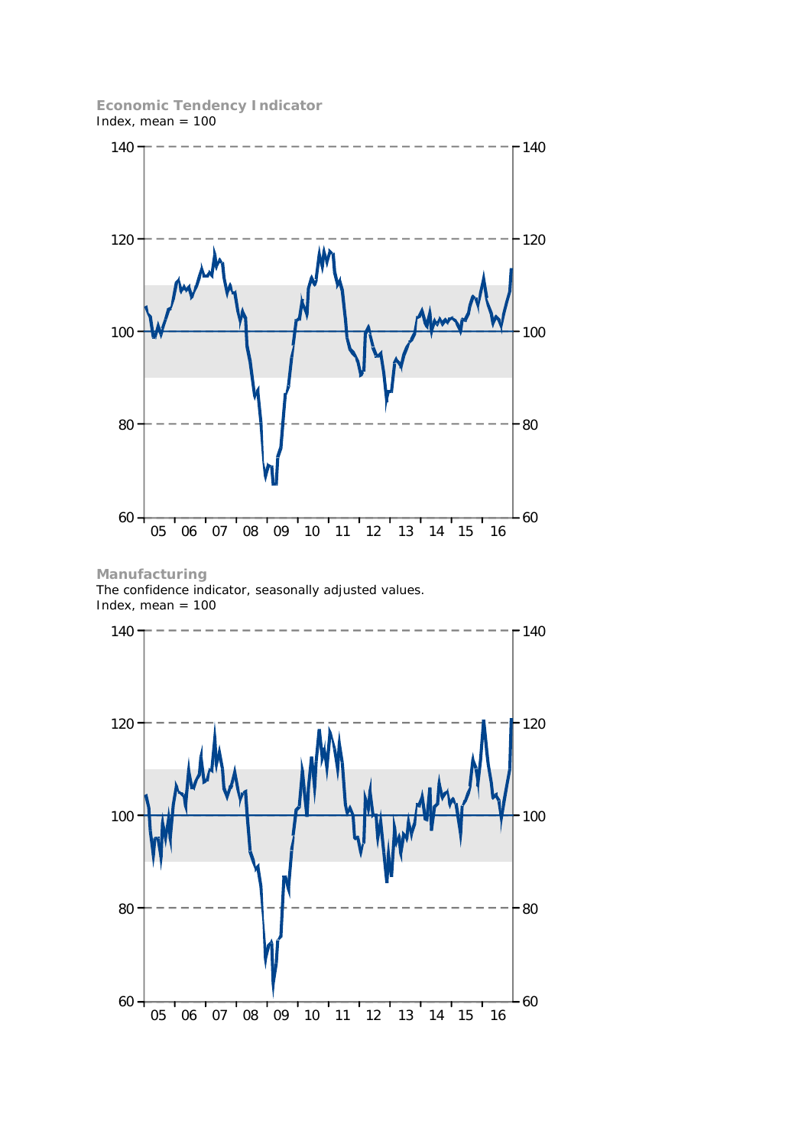**Economic Tendency Indicator** Index, mean  $= 100$ 



**Manufacturing** The confidence indicator, seasonally adjusted values. Index, mean  $= 100$ 

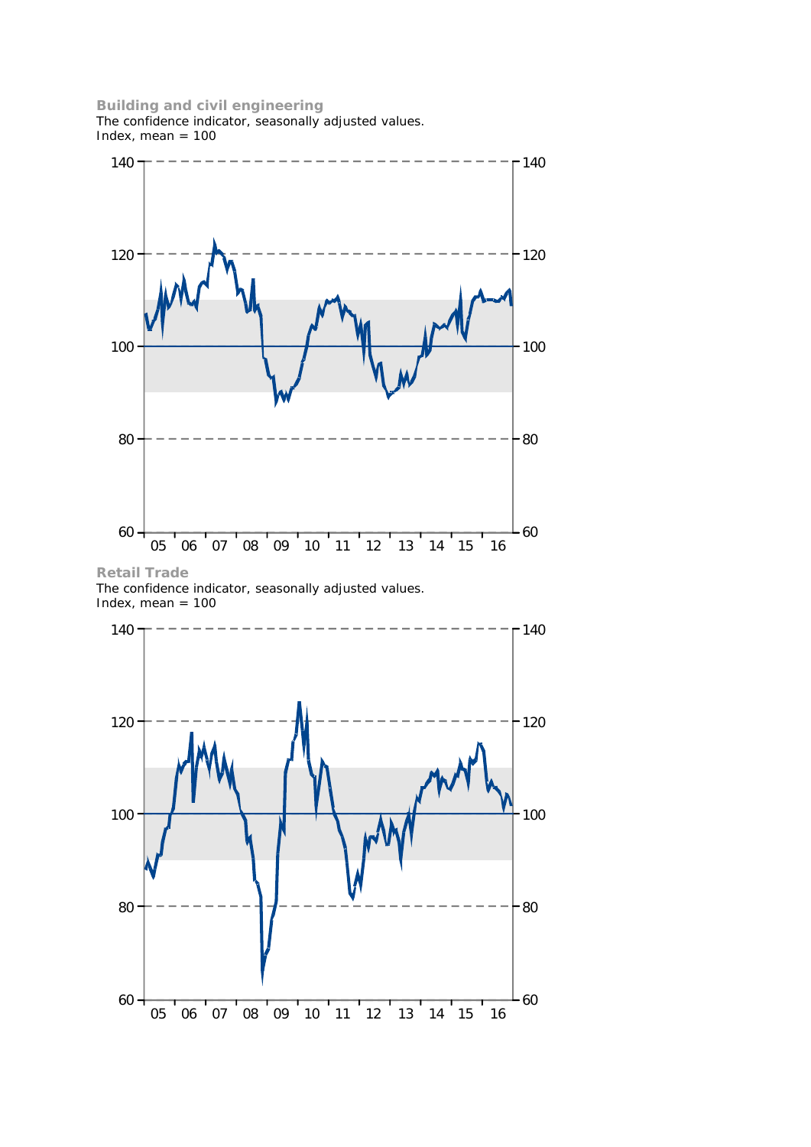## **Building and civil engineering**

The confidence indicator, seasonally adjusted values. Index, mean  $= 100$ 



**Retail Trade** The confidence indicator, seasonally adjusted values. Index, mean  $= 100$